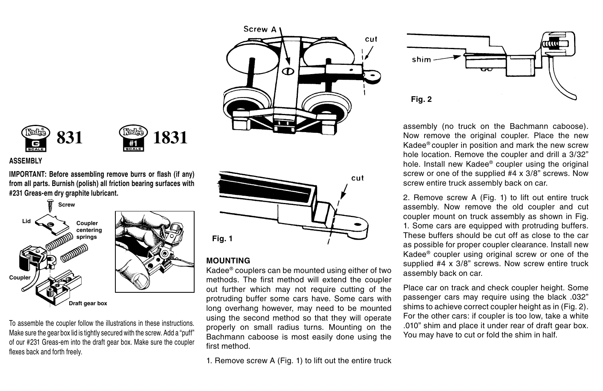





#### **ASSEMBLY**

**iMPoRtAnt: Before assembling remove burrs or flash (if any) from all parts. Burnish (polish) all friction bearing surfaces with #231 greas-em dry graphite lubricant.**



To assemble the coupler follow the illustrations in these instructions. Make sure the gear box lid is tightly secured with the screw. Add a "puff" of our #231 Greas-em into the draft gear box. Make sure the coupler flexes back and forth freely.



#### **Mounting**

Kadee® couplers can be mounted using either of two methods. The first method will extend the coupler out further which may not require cutting of the protruding buffer some cars have. Some cars with long overhang however, may need to be mounted using the second method so that they will operate properly on small radius turns. Mounting on the Bachmann caboose is most easily done using the first method.

1. Remove screw A (Fig. 1) to lift out the entire truck



assembly (no truck on the Bachmann caboose). Now remove the original coupler. Place the new Kadee® coupler in position and mark the new screw hole location. Remove the coupler and drill a  $3/32$ " hole. Install new Kadee® coupler using the original screw or one of the supplied #4 x 3/8" screws. Now screw entire truck assembly back on car.

2. Remove screw A (Fig. 1) to lift out entire truck assembly. Now remove the old coupler and cut coupler mount on truck assembly as shown in Fig. 1. Some cars are equipped with protruding buffers. These buffers should be cut off as close to the car as possible for proper coupler clearance. Install new Kadee® coupler using original screw or one of the supplied #4 x 3/8" screws. Now screw entire truck assembly back on car.

Place car on track and check coupler height. Some passenger cars may require using the black .032" shims to achieve correct coupler height as in (Fig. 2). For the other cars: if coupler is too low, take a white .010" shim and place it under rear of draft gear box. You may have to cut or fold the shim in half.